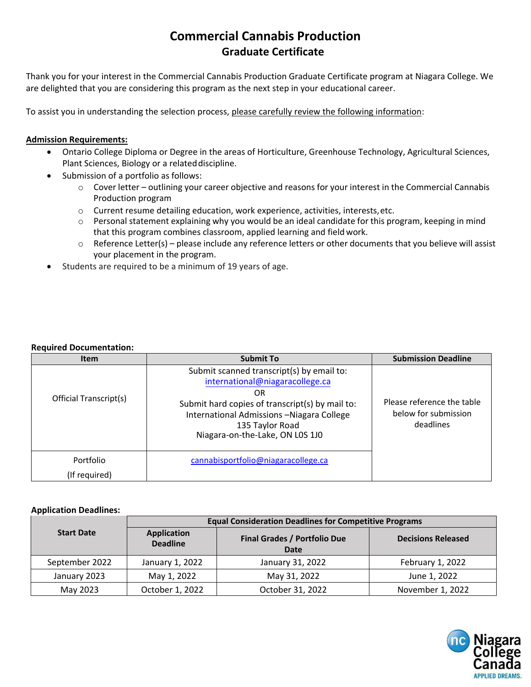## **Commercial Cannabis Production Graduate Certificate**

Thank you for your interest in the Commercial Cannabis Production Graduate Certificate program at Niagara College. We are delighted that you are considering this program as the next step in your educational career.

To assist you in understanding the selection process, please carefully review the following information:

## **Admission Requirements:**

- Ontario College Diploma or Degree in the areas of Horticulture, Greenhouse Technology, Agricultural Sciences, Plant Sciences, Biology or a related discipline.
- Submission of a portfolio as follows:
	- $\circ$  Cover letter outlining your career objective and reasons for your interest in the Commercial Cannabis Production program
	- o Current resume detailing education, work experience, activities, interests, etc.
	- $\circ$  Personal statement explaining why you would be an ideal candidate for this program, keeping in mind that this program combines classroom, applied learning and field work.
	- o Reference Letter(s) please include any reference letters or other documents that you believe will assist your placement in the program.
- Students are required to be a minimum of 19 years of age.

## **Required Documentation:**

| <b>Item</b>            | <b>Submit To</b>                                                                                                                                                                                                                           | <b>Submission Deadline</b>                                      |
|------------------------|--------------------------------------------------------------------------------------------------------------------------------------------------------------------------------------------------------------------------------------------|-----------------------------------------------------------------|
| Official Transcript(s) | Submit scanned transcript(s) by email to:<br>international@niagaracollege.ca<br>OR.<br>Submit hard copies of transcript(s) by mail to:<br>International Admissions - Niagara College<br>135 Taylor Road<br>Niagara-on-the-Lake, ON L0S 1J0 | Please reference the table<br>below for submission<br>deadlines |
| Portfolio              | cannabisportfolio@niagaracollege.ca                                                                                                                                                                                                        |                                                                 |
| (If required)          |                                                                                                                                                                                                                                            |                                                                 |

## **Application Deadlines:**

|                   | <b>Equal Consideration Deadlines for Competitive Programs</b> |                                             |                           |  |
|-------------------|---------------------------------------------------------------|---------------------------------------------|---------------------------|--|
| <b>Start Date</b> | <b>Application</b><br><b>Deadline</b>                         | <b>Final Grades / Portfolio Due</b><br>Date | <b>Decisions Released</b> |  |
| September 2022    | January 1, 2022                                               | January 31, 2022                            | February 1, 2022          |  |
| January 2023      | May 1, 2022                                                   | May 31, 2022                                | June 1, 2022              |  |
| May 2023          | October 1, 2022                                               | October 31, 2022                            | November 1, 2022          |  |